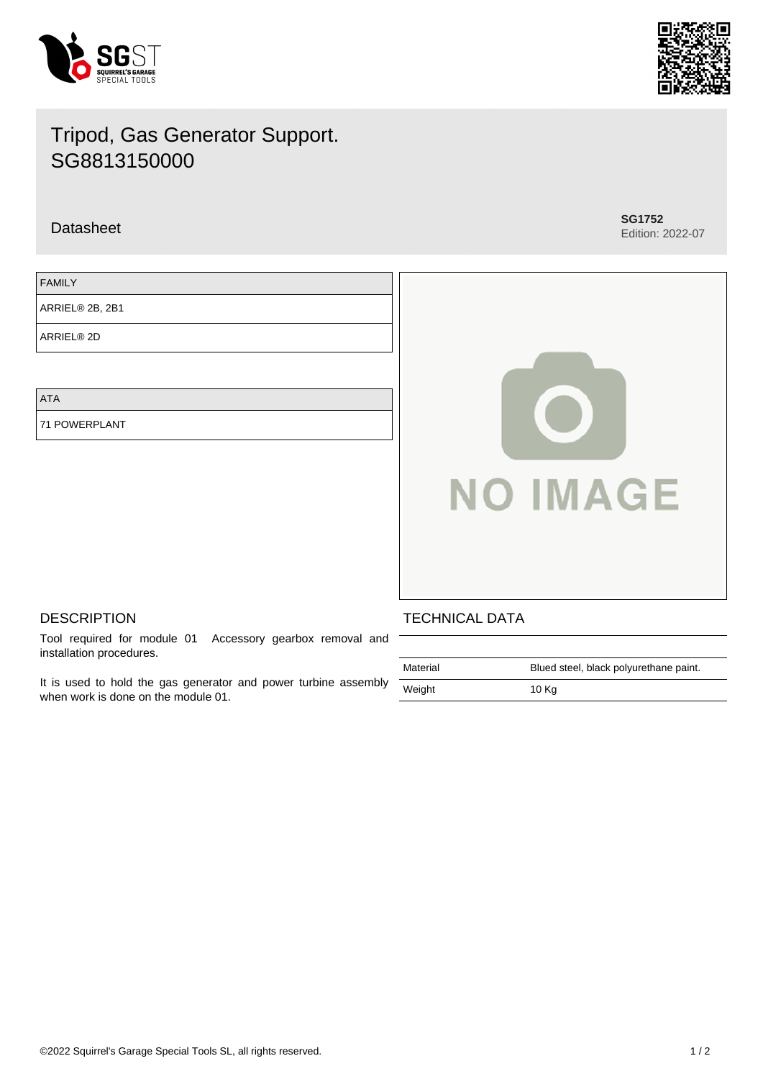

Edition: 2022-07

# Tripod, Gas Generator Support. SG8813150000

Datasheet **SG1752**

FAMILY

ARRIEL® 2B, 2B1

ARRIEL® 2D

ATA

71 POWERPLANT



# **DESCRIPTION**

Tool required for module 01 Accessory gearbox removal and installation procedures.

It is used to hold the gas generator and power turbine assembly when work is done on the module 01.

# TECHNICAL DATA

| Material | Blued steel, black polyurethane paint. |
|----------|----------------------------------------|
| Weight   | 10 Kg                                  |